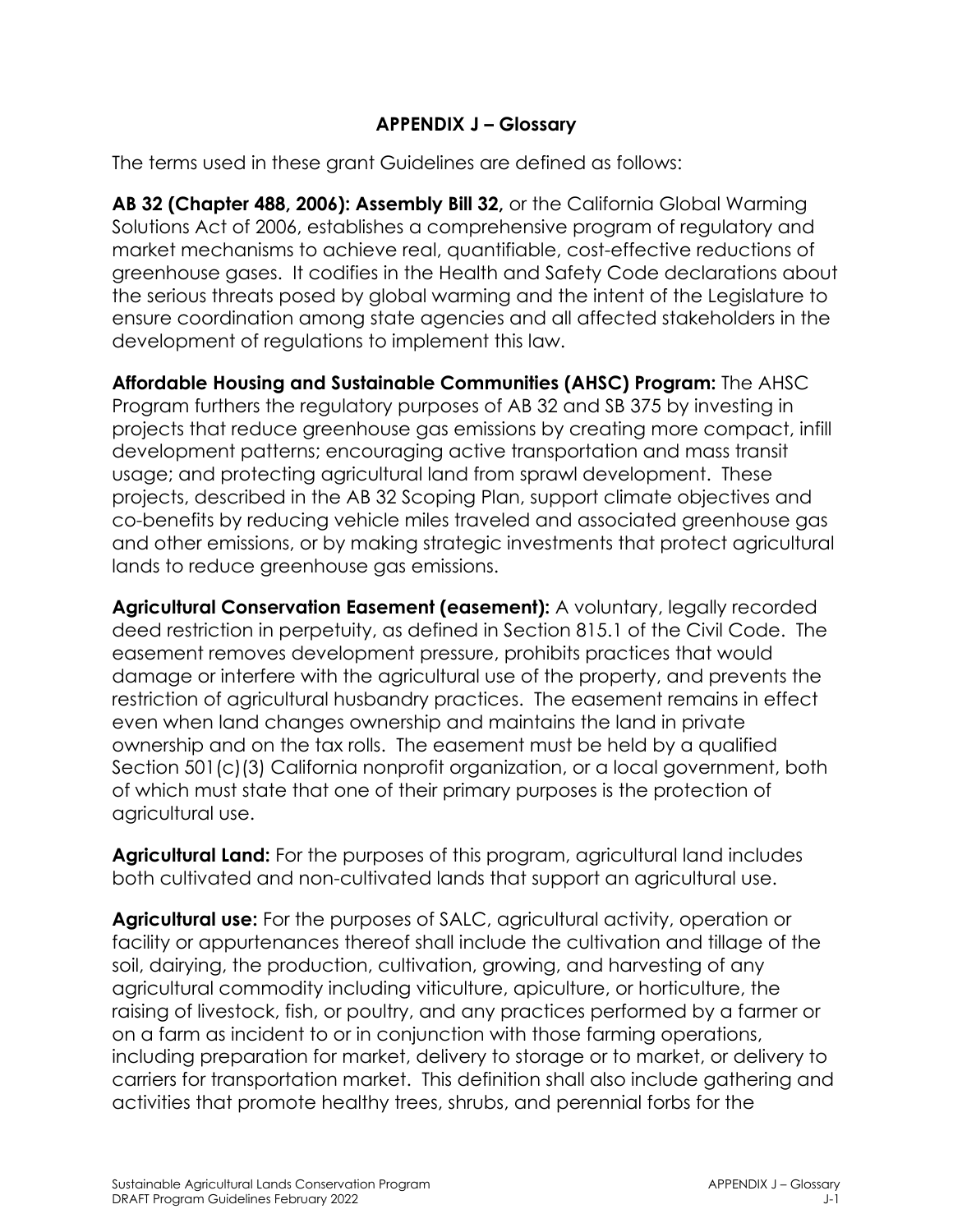## **APPENDIX J – Glossary**

The terms used in these grant Guidelines are defined as follows:

**AB 32 (Chapter 488, 2006): Assembly Bill 32,** or the California Global Warming Solutions Act of 2006, establishes a comprehensive program of regulatory and market mechanisms to achieve real, quantifiable, cost-effective reductions of greenhouse gases. It codifies in the Health and Safety Code declarations about the serious threats posed by global warming and the intent of the Legislature to ensure coordination among state agencies and all affected stakeholders in the development of regulations to implement this law.

**Affordable Housing and Sustainable Communities (AHSC) Program:** The AHSC Program furthers the regulatory purposes of AB 32 and SB 375 by investing in projects that reduce greenhouse gas emissions by creating more compact, infill development patterns; encouraging active transportation and mass transit usage; and protecting agricultural land from sprawl development. These projects, described in the AB 32 Scoping Plan, support climate objectives and co-benefits by reducing vehicle miles traveled and associated greenhouse gas and other emissions, or by making strategic investments that protect agricultural lands to reduce greenhouse gas emissions.

**Agricultural Conservation Easement (easement):** A voluntary, legally recorded deed restriction in perpetuity, as defined in Section 815.1 of the Civil Code. The easement removes development pressure, prohibits practices that would damage or interfere with the agricultural use of the property, and prevents the restriction of agricultural husbandry practices. The easement remains in effect even when land changes ownership and maintains the land in private ownership and on the tax rolls. The easement must be held by a qualified Section 501(c)(3) California nonprofit organization, or a local government, both of which must state that one of their primary purposes is the protection of agricultural use.

**Agricultural Land:** For the purposes of this program, agricultural land includes both cultivated and non-cultivated lands that support an agricultural use.

**Agricultural use:** For the purposes of SALC, agricultural activity, operation or facility or appurtenances thereof shall include the cultivation and tillage of the soil, dairying, the production, cultivation, growing, and harvesting of any agricultural commodity including viticulture, apiculture, or horticulture, the raising of livestock, fish, or poultry, and any practices performed by a farmer or on a farm as incident to or in conjunction with those farming operations, including preparation for market, delivery to storage or to market, or delivery to carriers for transportation market. This definition shall also include gathering and activities that promote healthy trees, shrubs, and perennial forbs for the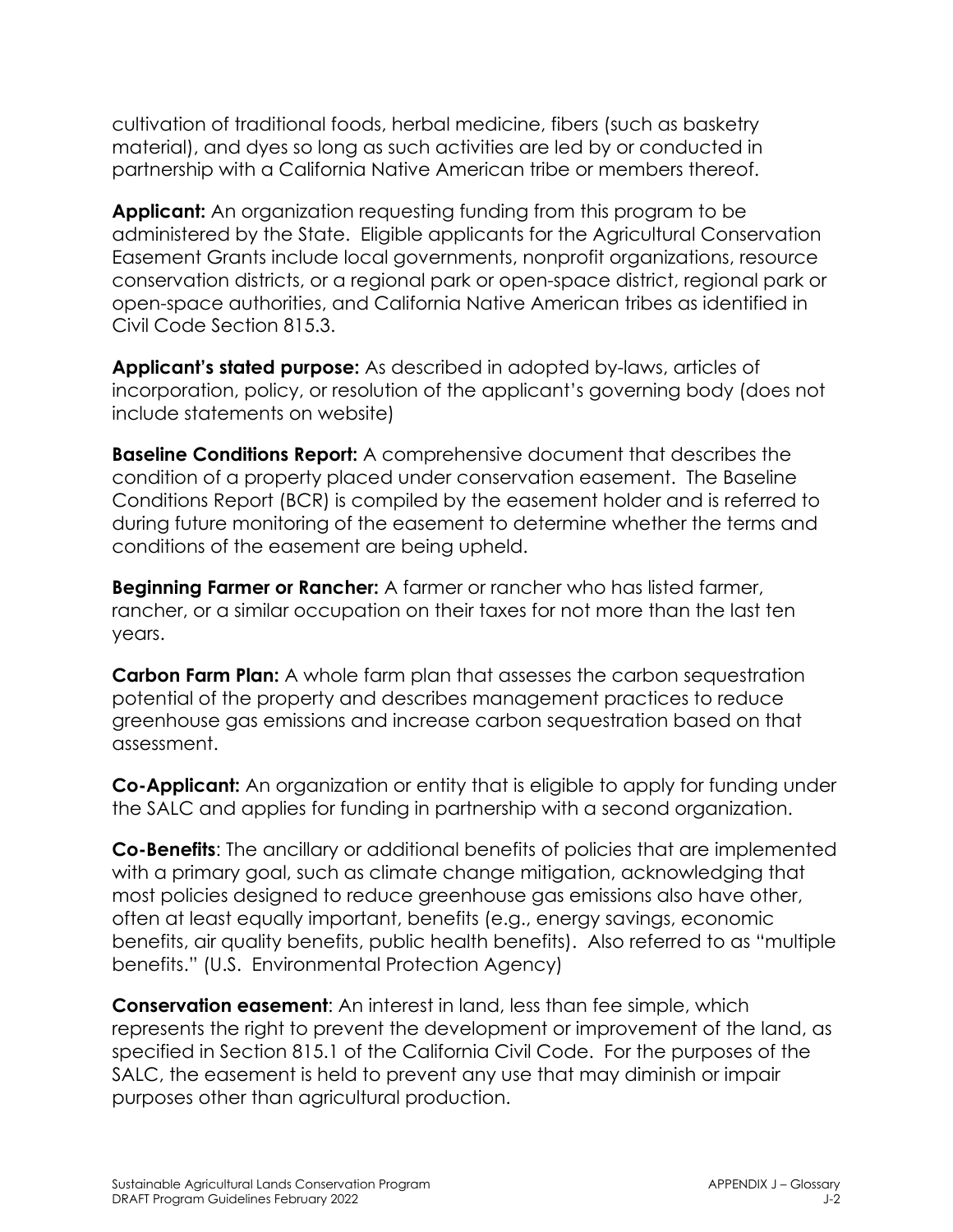cultivation of traditional foods, herbal medicine, fibers (such as basketry material), and dyes so long as such activities are led by or conducted in partnership with a California Native American tribe or members thereof.

**Applicant:** An organization requesting funding from this program to be administered by the State. Eligible applicants for the Agricultural Conservation Easement Grants include local governments, nonprofit organizations, resource conservation districts, or a regional park or open-space district, regional park or open-space authorities, and California Native American tribes as identified in Civil Code Section 815.3.

**Applicant's stated purpose:** As described in adopted by-laws, articles of incorporation, policy, or resolution of the applicant's governing body (does not include statements on website)

**Baseline Conditions Report:** A comprehensive document that describes the condition of a property placed under conservation easement. The Baseline Conditions Report (BCR) is compiled by the easement holder and is referred to during future monitoring of the easement to determine whether the terms and conditions of the easement are being upheld.

**Beginning Farmer or Rancher:** A farmer or rancher who has listed farmer, rancher, or a similar occupation on their taxes for not more than the last ten years.

**Carbon Farm Plan:** A whole farm plan that assesses the carbon sequestration potential of the property and describes management practices to reduce greenhouse gas emissions and increase carbon sequestration based on that assessment.

**Co-Applicant:** An organization or entity that is eligible to apply for funding under the SALC and applies for funding in partnership with a second organization.

**Co-Benefits**: The ancillary or additional benefits of policies that are implemented with a primary goal, such as climate change mitigation, acknowledging that most policies designed to reduce greenhouse gas emissions also have other, often at least equally important, benefits (e.g., energy savings, economic benefits, air quality benefits, public health benefits). Also referred to as "multiple benefits." (U.S. Environmental Protection Agency)

**Conservation easement**: An interest in land, less than fee simple, which represents the right to prevent the development or improvement of the land, as specified in Section 815.1 of the California Civil Code. For the purposes of the SALC, the easement is held to prevent any use that may diminish or impair purposes other than agricultural production.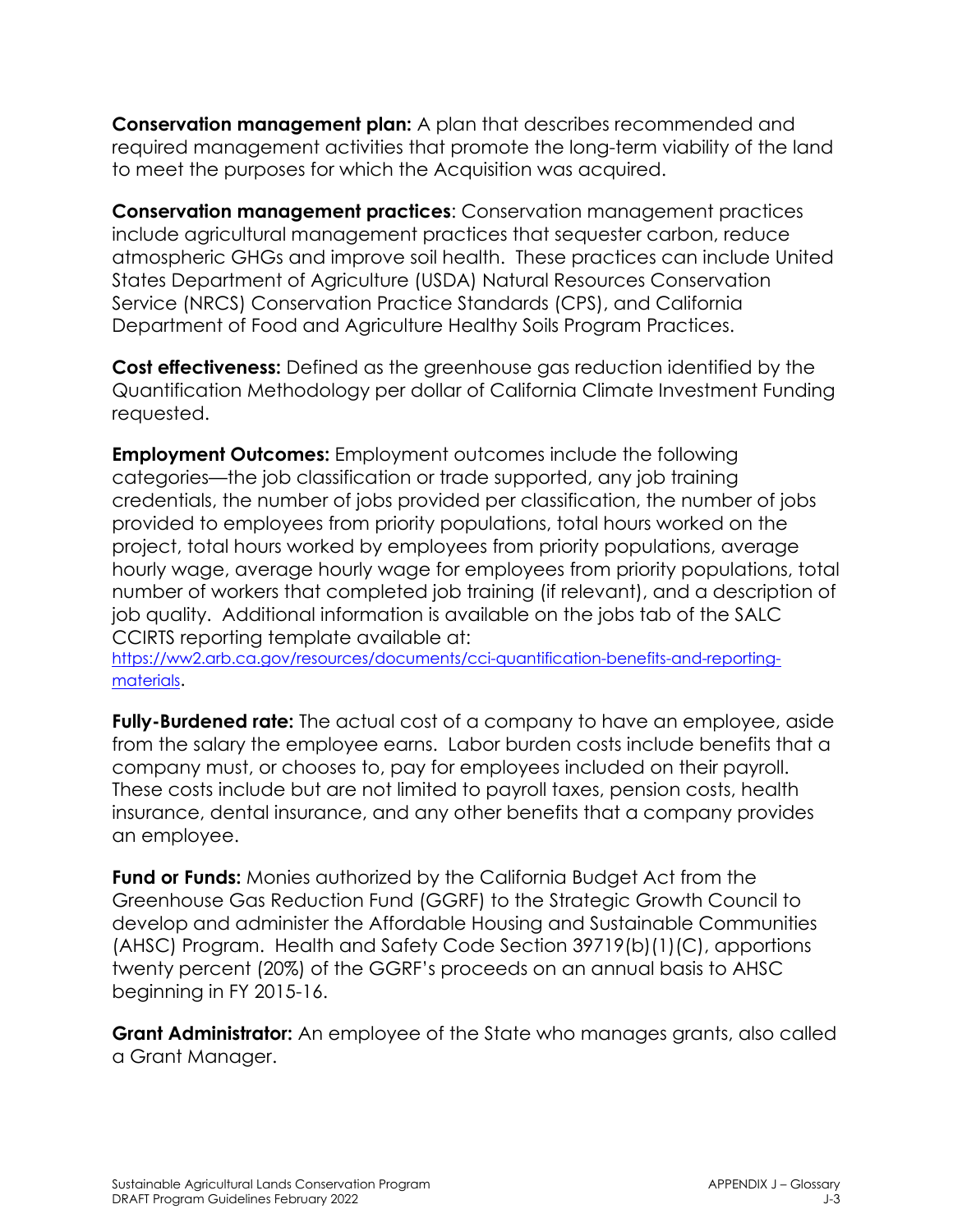**Conservation management plan:** A plan that describes recommended and required management activities that promote the long-term viability of the land to meet the purposes for which the Acquisition was acquired.

**Conservation management practices**: Conservation management practices include agricultural management practices that sequester carbon, reduce atmospheric GHGs and improve soil health. These practices can include United States Department of Agriculture (USDA) Natural Resources Conservation Service (NRCS) Conservation Practice Standards (CPS), and California Department of Food and Agriculture Healthy Soils Program Practices.

**Cost effectiveness:** Defined as the greenhouse gas reduction identified by the Quantification Methodology per dollar of California Climate Investment Funding requested.

**Employment Outcomes:** Employment outcomes include the following categories—the job classification or trade supported, any job training credentials, the number of jobs provided per classification, the number of jobs provided to employees from priority populations, total hours worked on the project, total hours worked by employees from priority populations, average hourly wage, average hourly wage for employees from priority populations, total number of workers that completed job training (if relevant), and a description of job quality. Additional information is available on the jobs tab of the SALC CCIRTS reporting template available at:

[https://ww2.arb.ca.gov/resources/documents/cci-quantification-benefits-and-reporting](https://ww2.arb.ca.gov/resources/documents/cci-quantification-benefits-and-reporting-materials)[materials.](https://ww2.arb.ca.gov/resources/documents/cci-quantification-benefits-and-reporting-materials)

**Fully-Burdened rate:** The actual cost of a company to have an employee, aside from the salary the employee earns. Labor burden costs include benefits that a company must, or chooses to, pay for employees included on their payroll. These costs include but are not limited to payroll taxes, pension costs, health insurance, dental insurance, and any other benefits that a company provides an employee.

**Fund or Funds:** Monies authorized by the California Budget Act from the Greenhouse Gas Reduction Fund (GGRF) to the Strategic Growth Council to develop and administer the Affordable Housing and Sustainable Communities (AHSC) Program. Health and Safety Code Section 39719(b)(1)(C), apportions twenty percent (20%) of the GGRF's proceeds on an annual basis to AHSC beginning in FY 2015-16.

**Grant Administrator:** An employee of the State who manages grants, also called a Grant Manager.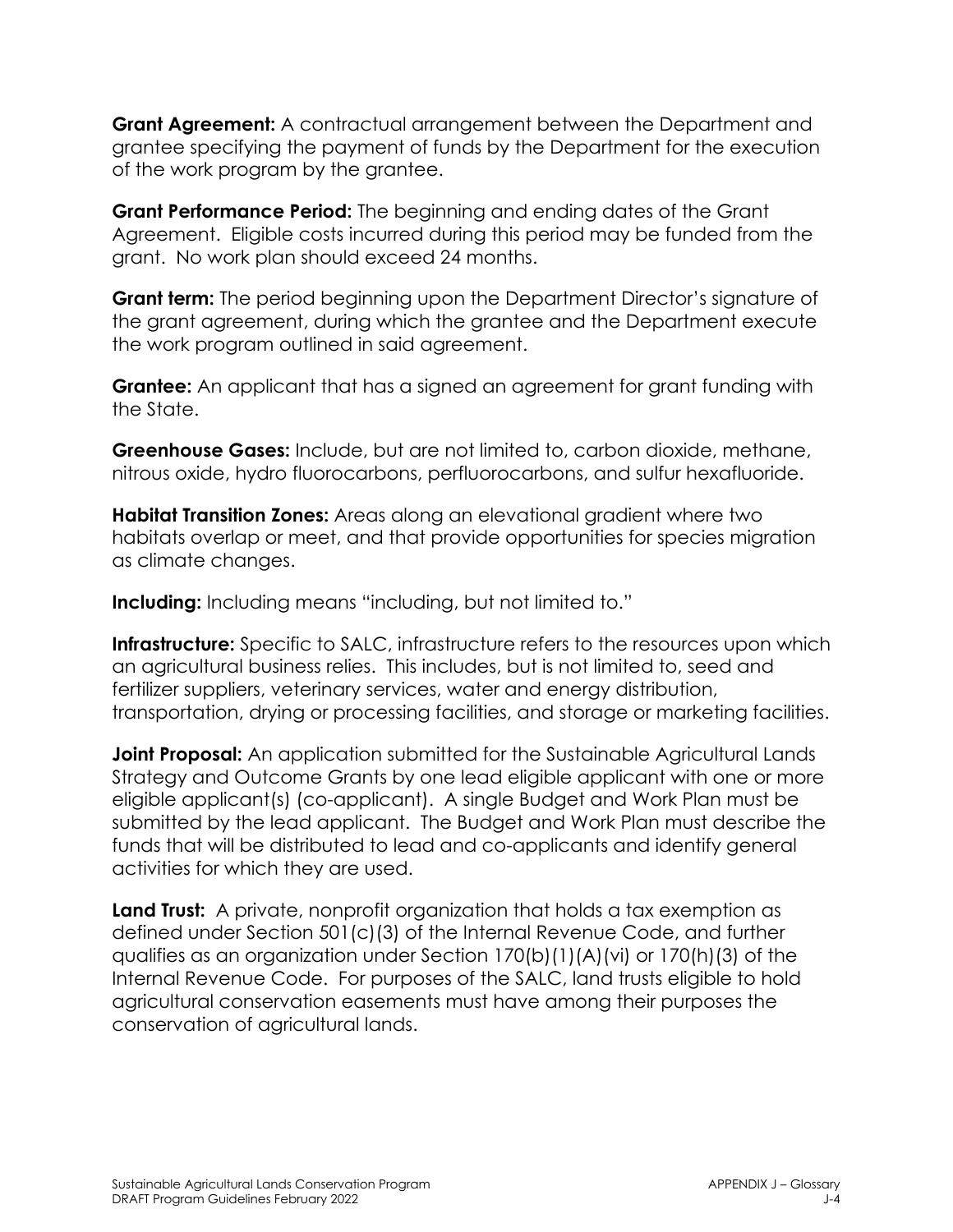**Grant Agreement:** A contractual arrangement between the Department and grantee specifying the payment of funds by the Department for the execution of the work program by the grantee.

**Grant Performance Period:** The beginning and ending dates of the Grant Agreement. Eligible costs incurred during this period may be funded from the grant. No work plan should exceed 24 months.

**Grant term:** The period beginning upon the Department Director's signature of the grant agreement, during which the grantee and the Department execute the work program outlined in said agreement.

**Grantee:** An applicant that has a signed an agreement for grant funding with the State.

**Greenhouse Gases:** Include, but are not limited to, carbon dioxide, methane, nitrous oxide, hydro fluorocarbons, perfluorocarbons, and sulfur hexafluoride.

**Habitat Transition Zones:** Areas along an elevational gradient where two habitats overlap or meet, and that provide opportunities for species migration as climate changes.

**Including:** Including means "including, but not limited to."

**Infrastructure:** Specific to SALC, infrastructure refers to the resources upon which an agricultural business relies. This includes, but is not limited to, seed and fertilizer suppliers, veterinary services, water and energy distribution, transportation, drying or processing facilities, and storage or marketing facilities.

**Joint Proposal:** An application submitted for the Sustainable Agricultural Lands Strategy and Outcome Grants by one lead eligible applicant with one or more eligible applicant(s) (co-applicant). A single Budget and Work Plan must be submitted by the lead applicant. The Budget and Work Plan must describe the funds that will be distributed to lead and co-applicants and identify general activities for which they are used.

**Land Trust:** A private, nonprofit organization that holds a tax exemption as defined under Section 501(c)(3) of the Internal Revenue Code, and further qualifies as an organization under Section 170(b)(1)(A)(vi) or 170(h)(3) of the Internal Revenue Code. For purposes of the SALC, land trusts eligible to hold agricultural conservation easements must have among their purposes the conservation of agricultural lands.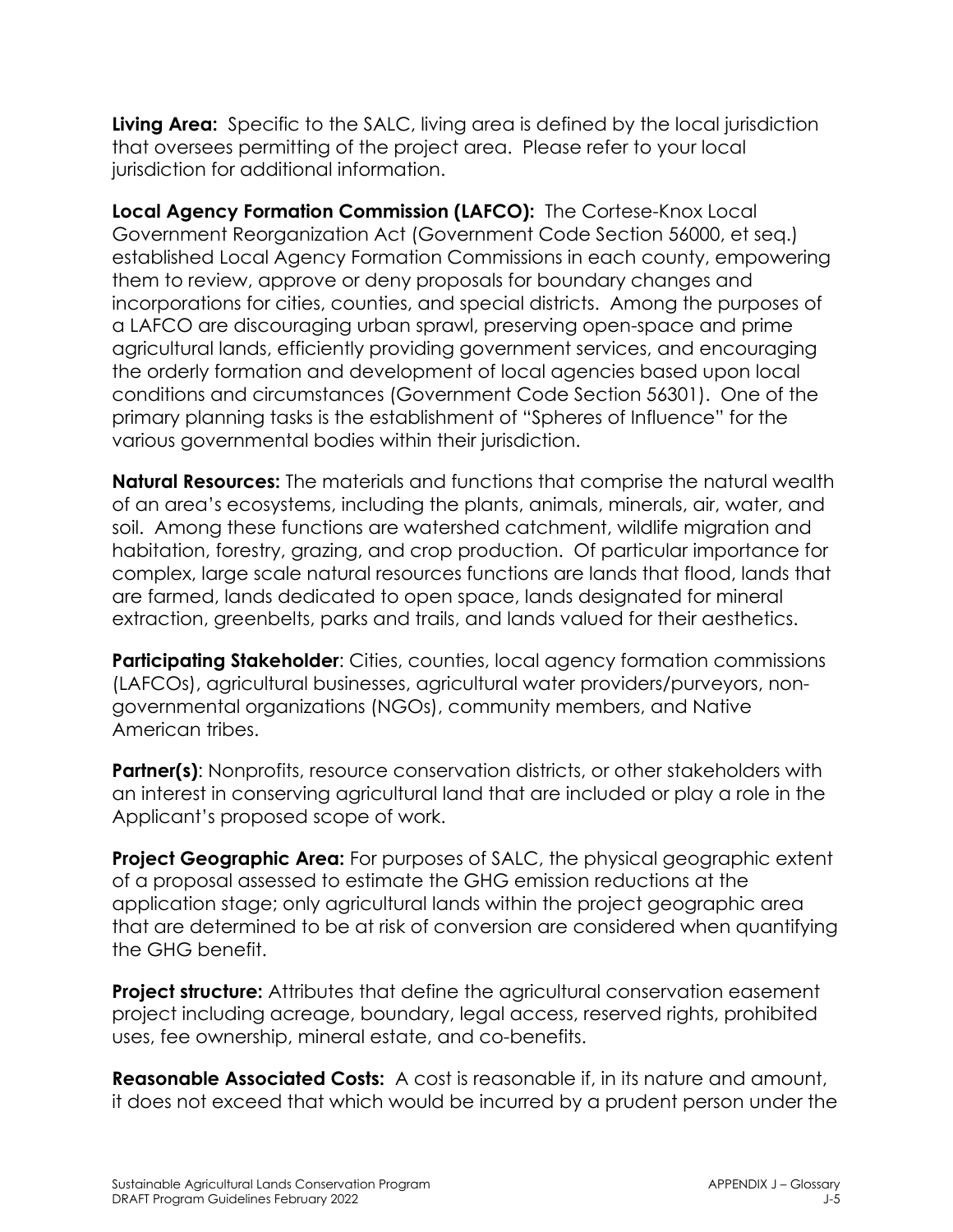**Living Area:** Specific to the SALC, living area is defined by the local jurisdiction that oversees permitting of the project area. Please refer to your local jurisdiction for additional information.

**Local Agency Formation Commission (LAFCO):** The Cortese-Knox Local Government Reorganization Act (Government Code Section 56000, et seq.) established Local Agency Formation Commissions in each county, empowering them to review, approve or deny proposals for boundary changes and incorporations for cities, counties, and special districts. Among the purposes of a LAFCO are discouraging urban sprawl, preserving open-space and prime agricultural lands, efficiently providing government services, and encouraging the orderly formation and development of local agencies based upon local conditions and circumstances (Government Code Section 56301). One of the primary planning tasks is the establishment of "Spheres of Influence" for the various governmental bodies within their jurisdiction.

**Natural Resources:** The materials and functions that comprise the natural wealth of an area's ecosystems, including the plants, animals, minerals, air, water, and soil. Among these functions are watershed catchment, wildlife migration and habitation, forestry, grazing, and crop production. Of particular importance for complex, large scale natural resources functions are lands that flood, lands that are farmed, lands dedicated to open space, lands designated for mineral extraction, greenbelts, parks and trails, and lands valued for their aesthetics.

**Participating Stakeholder:** Cities, counties, local agency formation commissions (LAFCOs), agricultural businesses, agricultural water providers/purveyors, nongovernmental organizations (NGOs), community members, and Native American tribes.

**Partner(s):** Nonprofits, resource conservation districts, or other stakeholders with an interest in conserving agricultural land that are included or play a role in the Applicant's proposed scope of work.

**Project Geographic Area:** For purposes of SALC, the physical geographic extent of a proposal assessed to estimate the GHG emission reductions at the application stage; only agricultural lands within the project geographic area that are determined to be at risk of conversion are considered when quantifying the GHG benefit.

**Project structure:** Attributes that define the agricultural conservation easement project including acreage, boundary, legal access, reserved rights, prohibited uses, fee ownership, mineral estate, and co-benefits.

**Reasonable Associated Costs:** A cost is reasonable if, in its nature and amount, it does not exceed that which would be incurred by a prudent person under the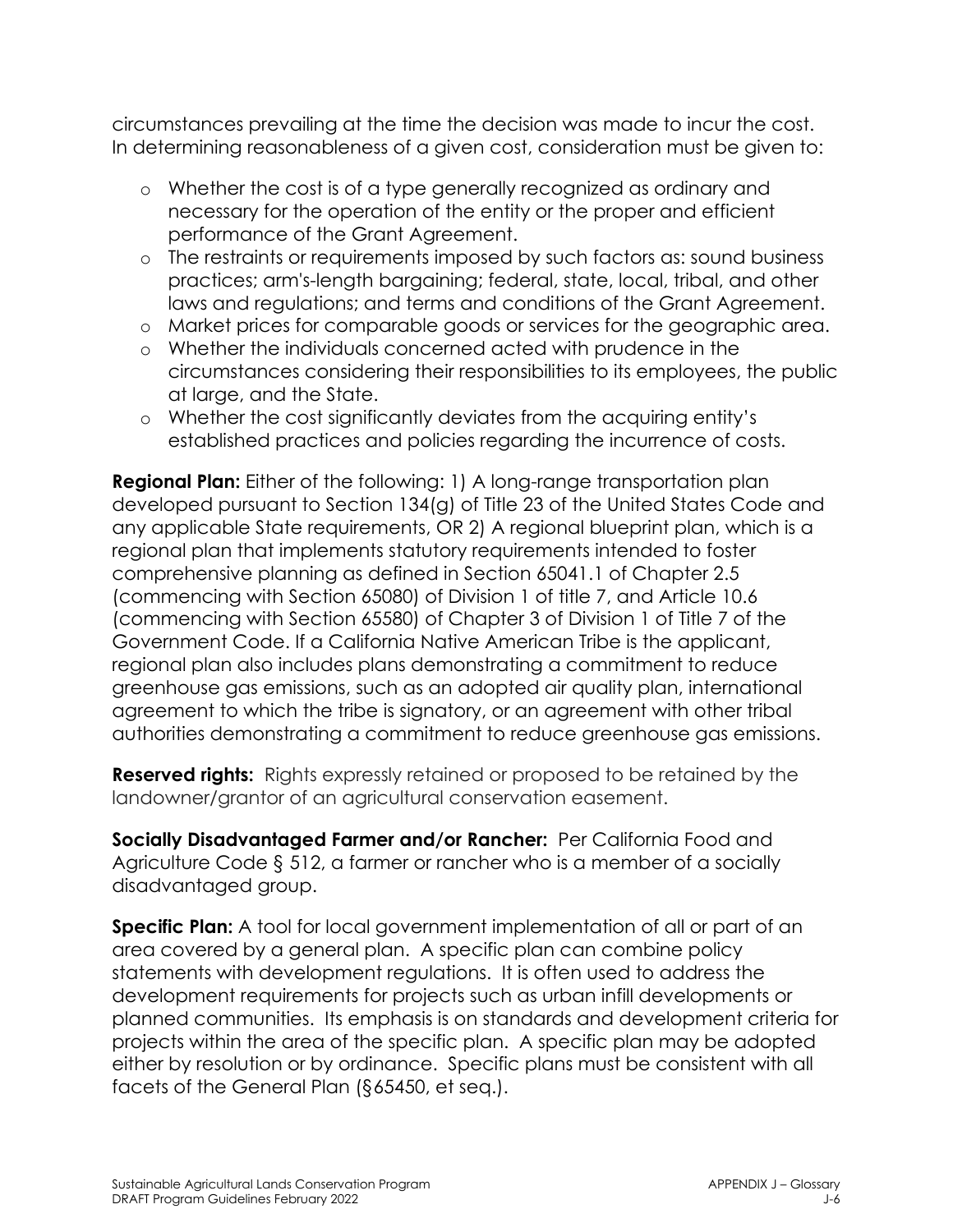circumstances prevailing at the time the decision was made to incur the cost. In determining reasonableness of a given cost, consideration must be given to:

- o Whether the cost is of a type generally recognized as ordinary and necessary for the operation of the entity or the proper and efficient performance of the Grant Agreement.
- o The restraints or requirements imposed by such factors as: sound business practices; arm's-length bargaining; federal, state, local, tribal, and other laws and regulations; and terms and conditions of the Grant Agreement.
- o Market prices for comparable goods or services for the geographic area.
- o Whether the individuals concerned acted with prudence in the circumstances considering their responsibilities to its employees, the public at large, and the State.
- o Whether the cost significantly deviates from the acquiring entity's established practices and policies regarding the incurrence of costs.

**Regional Plan:** Either of the following: 1) A long-range transportation plan developed pursuant to Section 134(g) of Title 23 of the United States Code and any applicable State requirements, OR 2) A regional blueprint plan, which is a regional plan that implements statutory requirements intended to foster comprehensive planning as defined in Section 65041.1 of Chapter 2.5 (commencing with Section 65080) of Division 1 of title 7, and Article 10.6 (commencing with Section 65580) of Chapter 3 of Division 1 of Title 7 of the Government Code. If a California Native American Tribe is the applicant, regional plan also includes plans demonstrating a commitment to reduce greenhouse gas emissions, such as an adopted air quality plan, international agreement to which the tribe is signatory, or an agreement with other tribal authorities demonstrating a commitment to reduce greenhouse gas emissions.

**Reserved rights:** Rights expressly retained or proposed to be retained by the landowner/grantor of an agricultural conservation easement.

**Socially Disadvantaged Farmer and/or Rancher:** Per California Food and Agriculture Code § 512, a farmer or rancher who is a member of a socially disadvantaged group.

**Specific Plan:** A tool for local government implementation of all or part of an area covered by a general plan. A specific plan can combine policy statements with development regulations. It is often used to address the development requirements for projects such as urban infill developments or planned communities. Its emphasis is on standards and development criteria for projects within the area of the specific plan. A specific plan may be adopted either by resolution or by ordinance. Specific plans must be consistent with all facets of the General Plan (§65450, et seq.).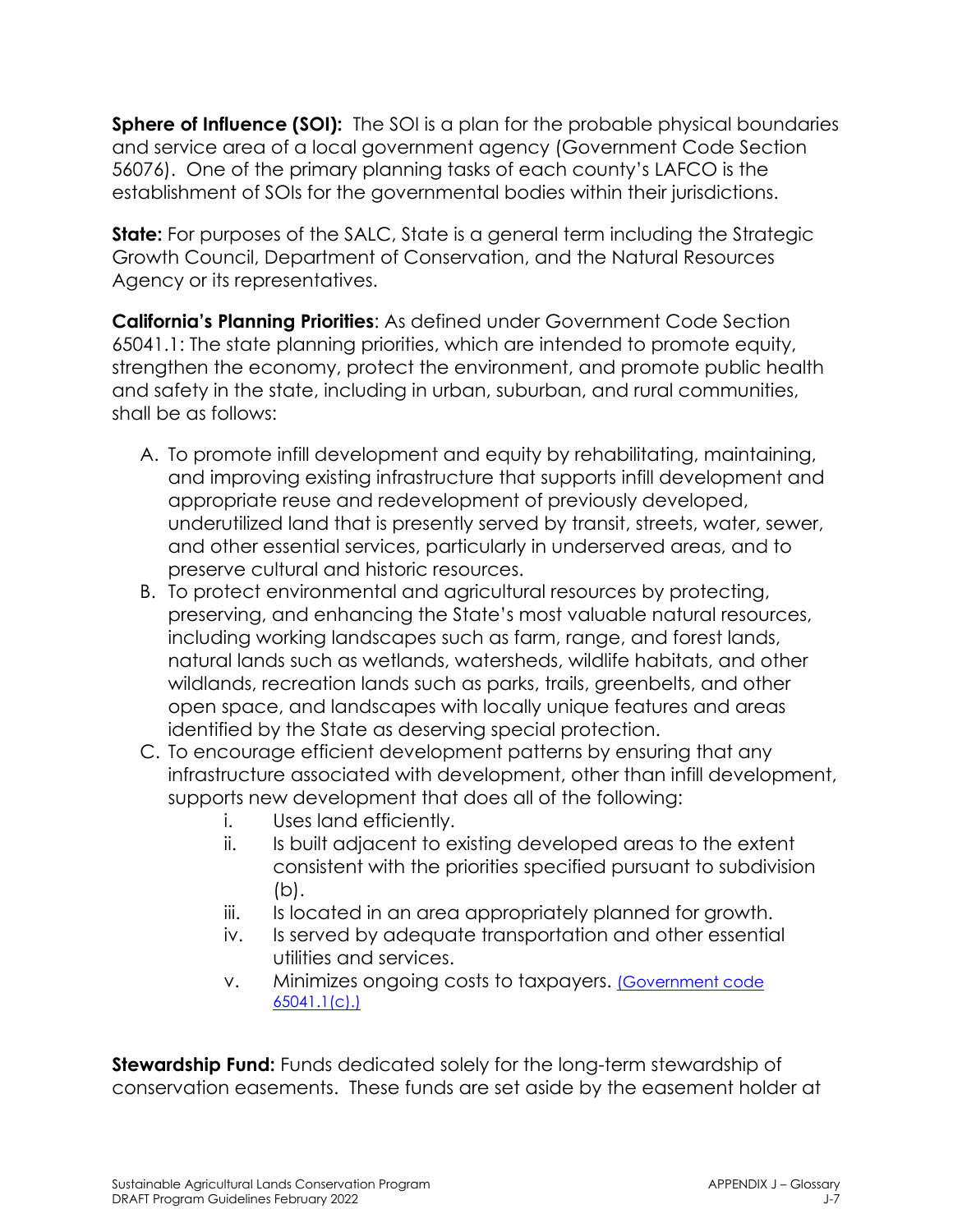**Sphere of Influence (SOI):** The SOI is a plan for the probable physical boundaries and service area of a local government agency (Government Code Section 56076). One of the primary planning tasks of each county's LAFCO is the establishment of SOIs for the governmental bodies within their jurisdictions.

**State:** For purposes of the SALC, State is a general term including the Strategic Growth Council, Department of Conservation, and the Natural Resources Agency or its representatives.

**California's Planning Priorities**: As defined under Government Code Section 65041.1: The state planning priorities, which are intended to promote equity, strengthen the economy, protect the environment, and promote public health and safety in the state, including in urban, suburban, and rural communities, shall be as follows:

- A. To promote infill development and equity by rehabilitating, maintaining, and improving existing infrastructure that supports infill development and appropriate reuse and redevelopment of previously developed, underutilized land that is presently served by transit, streets, water, sewer, and other essential services, particularly in underserved areas, and to preserve cultural and historic resources.
- B. To protect environmental and agricultural resources by protecting, preserving, and enhancing the State's most valuable natural resources, including working landscapes such as farm, range, and forest lands, natural lands such as wetlands, watersheds, wildlife habitats, and other wildlands, recreation lands such as parks, trails, greenbelts, and other open space, and landscapes with locally unique features and areas identified by the State as deserving special protection.
- C. To encourage efficient development patterns by ensuring that any infrastructure associated with development, other than infill development, supports new development that does all of the following:
	- i. Uses land efficiently.
	- ii. Is built adjacent to existing developed areas to the extent consistent with the priorities specified pursuant to subdivision (b).
	- iii. Is located in an area appropriately planned for growth.
	- iv. Is served by adequate transportation and other essential utilities and services.
	- v. Minimizes ongoing costs to taxpayers. [\(Government code](https://leginfo.legislature.ca.gov/faces/codes_displayText.xhtml?lawCode=GOV&division=1.&title=7.&part=&chapter=1.5.&article=5.)  [65041.1\(c\).\)](https://leginfo.legislature.ca.gov/faces/codes_displayText.xhtml?lawCode=GOV&division=1.&title=7.&part=&chapter=1.5.&article=5.)

**Stewardship Fund:** Funds dedicated solely for the long-term stewardship of conservation easements. These funds are set aside by the easement holder at